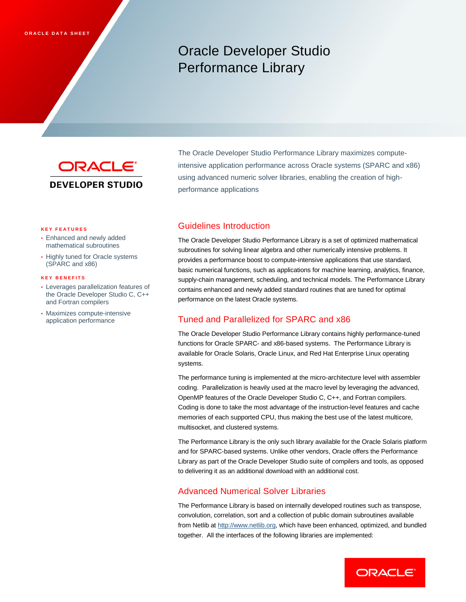# Oracle Developer Studio Performance Library



The Oracle Developer Studio Performance Library maximizes computeintensive application performance across Oracle systems (SPARC and x86) using advanced numeric solver libraries, enabling the creation of highperformance applications

#### **K E Y F E A T U R E S**

- Enhanced and newly added mathematical subroutines
- Highly tuned for Oracle systems (SPARC and x86)

#### **K E Y B E N E F I T S**

- Leverages parallelization features of the Oracle Developer Studio C, C++ and Fortran compilers
- Maximizes compute-intensive application performance

# Guidelines Introduction

The Oracle Developer Studio Performance Library is a set of optimized mathematical subroutines for solving linear algebra and other numerically intensive problems. It provides a performance boost to compute-intensive applications that use standard, basic numerical functions, such as applications for machine learning, analytics, finance, supply-chain management, scheduling, and technical models. The Performance Library contains enhanced and newly added standard routines that are tuned for optimal performance on the latest Oracle systems.

## Tuned and Parallelized for SPARC and x86

The Oracle Developer Studio Performance Library contains highly performance-tuned functions for Oracle SPARC- and x86-based systems. The Performance Library is available for Oracle Solaris, Oracle Linux, and Red Hat Enterprise Linux operating systems.

The performance tuning is implemented at the micro-architecture level with assembler coding. Parallelization is heavily used at the macro level by leveraging the advanced, OpenMP features of the Oracle Developer Studio C, C++, and Fortran compilers. Coding is done to take the most advantage of the instruction-level features and cache memories of each supported CPU, thus making the best use of the latest multicore, multisocket, and clustered systems.

The Performance Library is the only such library available for the Oracle Solaris platform and for SPARC-based systems. Unlike other vendors, Oracle offers the Performance Library as part of the Oracle Developer Studio suite of compilers and tools, as opposed to delivering it as an additional download with an additional cost.

### Advanced Numerical Solver Libraries

The Performance Library is based on internally developed routines such as transpose, convolution, correlation, sort and a collection of public domain subroutines available from Netlib at [http://www.netlib.org,](http://www.netlib.org/) which have been enhanced, optimized, and bundled together. All the interfaces of the following libraries are implemented: